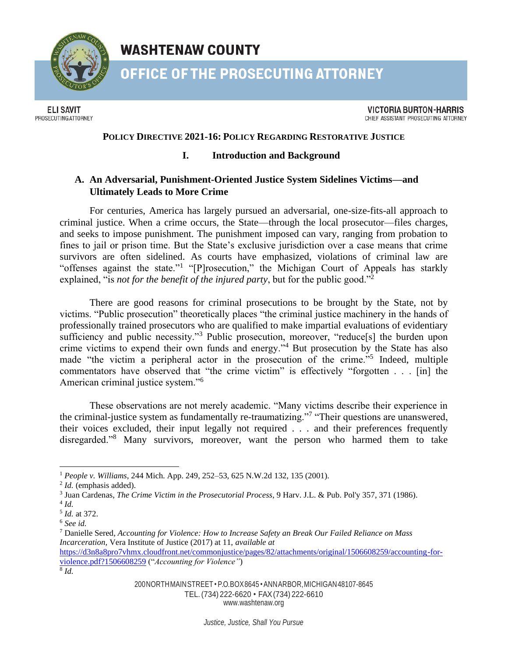

**WASHTENAW COUNTY** 

**OFFICE OF THE PROSECUTING ATTORNEY** 

**ELI SAVIT** PROSECUTING ATTORNEY

**VICTORIA BURTON-HARRIS** CHIEF ASSISTANT PROSECUTING ATTORNEY

## **POLICY DIRECTIVE 2021-16: POLICY REGARDING RESTORATIVE JUSTICE**

## **I. Introduction and Background**

# **A. An Adversarial, Punishment-Oriented Justice System Sidelines Victims—and Ultimately Leads to More Crime**

For centuries, America has largely pursued an adversarial, one-size-fits-all approach to criminal justice. When a crime occurs, the State—through the local prosecutor—files charges, and seeks to impose punishment. The punishment imposed can vary, ranging from probation to fines to jail or prison time. But the State's exclusive jurisdiction over a case means that crime survivors are often sidelined. As courts have emphasized, violations of criminal law are "offenses against the state."<sup>1</sup> "[P]rosecution," the Michigan Court of Appeals has starkly explained, "is *not for the benefit of the injured party*, but for the public good."<sup>2</sup>

There are good reasons for criminal prosecutions to be brought by the State, not by victims. "Public prosecution" theoretically places "the criminal justice machinery in the hands of professionally trained prosecutors who are qualified to make impartial evaluations of evidentiary sufficiency and public necessity."<sup>3</sup> Public prosecution, moreover, "reduce[s] the burden upon crime victims to expend their own funds and energy."<sup>4</sup> But prosecution by the State has also made "the victim a peripheral actor in the prosecution of the crime."<sup>5</sup> Indeed, multiple commentators have observed that "the crime victim" is effectively "forgotten . . . [in] the American criminal justice system."<sup>6</sup>

These observations are not merely academic. "Many victims describe their experience in the criminal-justice system as fundamentally re-traumatizing."<sup>7</sup> "Their questions are unanswered, their voices excluded, their input legally not required . . . and their preferences frequently disregarded."<sup>8</sup> Many survivors, moreover, want the person who harmed them to take

[www.washtenaw.org](http://www.washtenaw.org/)

<sup>1</sup> *People v. Williams*, 244 Mich. App. 249, 252–53, 625 N.W.2d 132, 135 (2001).

<sup>2</sup> *Id.* (emphasis added).

<sup>3</sup> Juan Cardenas, *The Crime Victim in the Prosecutorial Process*, 9 Harv. J.L. & Pub. Pol'y 357, 371 (1986).

<sup>4</sup> *Id.* 

<sup>5</sup> *Id.* at 372.

<sup>6</sup> *See id.* 

<sup>7</sup> Danielle Sered, *Accounting for Violence: How to Increase Safety an Break Our Failed Reliance on Mass Incarceration,* Vera Institute of Justice (2017) at 11, *available at* 

[https://d3n8a8pro7vhmx.cloudfront.net/commonjustice/pages/82/attachments/original/1506608259/accounting-for](https://d3n8a8pro7vhmx.cloudfront.net/commonjustice/pages/82/attachments/original/1506608259/accounting-for-violence.pdf?1506608259)[violence.pdf?1506608259](https://d3n8a8pro7vhmx.cloudfront.net/commonjustice/pages/82/attachments/original/1506608259/accounting-for-violence.pdf?1506608259) ("*Accounting for Violence"*)

<sup>8</sup> *Id.*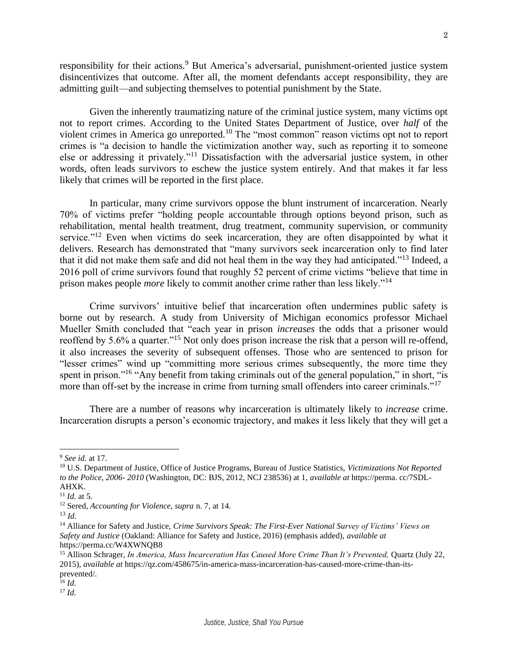responsibility for their actions.<sup>9</sup> But America's adversarial, punishment-oriented justice system disincentivizes that outcome. After all, the moment defendants accept responsibility, they are admitting guilt—and subjecting themselves to potential punishment by the State.

Given the inherently traumatizing nature of the criminal justice system, many victims opt not to report crimes. According to the United States Department of Justice, over *half* of the violent crimes in America go unreported.<sup>10</sup> The "most common" reason victims opt not to report crimes is "a decision to handle the victimization another way, such as reporting it to someone else or addressing it privately."<sup>11</sup> Dissatisfaction with the adversarial justice system, in other words, often leads survivors to eschew the justice system entirely. And that makes it far less likely that crimes will be reported in the first place.

In particular, many crime survivors oppose the blunt instrument of incarceration. Nearly 70% of victims prefer "holding people accountable through options beyond prison, such as rehabilitation, mental health treatment, drug treatment, community supervision, or community service."<sup>12</sup> Even when victims do seek incarceration, they are often disappointed by what it delivers. Research has demonstrated that "many survivors seek incarceration only to find later that it did not make them safe and did not heal them in the way they had anticipated."<sup>13</sup> Indeed, a 2016 poll of crime survivors found that roughly 52 percent of crime victims "believe that time in prison makes people *more* likely to commit another crime rather than less likely."<sup>14</sup>

Crime survivors' intuitive belief that incarceration often undermines public safety is borne out by research. A study from University of Michigan economics professor Michael Mueller Smith concluded that "each year in prison *increases* the odds that a prisoner would reoffend by 5.6% a quarter."<sup>15</sup> Not only does prison increase the risk that a person will re-offend, it also increases the severity of subsequent offenses. Those who are sentenced to prison for "lesser crimes" wind up "committing more serious crimes subsequently, the more time they spent in prison."<sup>16</sup> "Any benefit from taking criminals out of the general population," in short, "is more than off-set by the increase in crime from turning small offenders into career criminals."<sup>17</sup>

There are a number of reasons why incarceration is ultimately likely to *increase* crime. Incarceration disrupts a person's economic trajectory, and makes it less likely that they will get a

<sup>9</sup> *See id.* at 17.

<sup>10</sup> U.S. Department of Justice, Office of Justice Programs, Bureau of Justice Statistics, *Victimizations Not Reported to the Police, 2006- 2010* (Washington, DC: BJS, 2012, NCJ 238536) at 1, *available at* https://perma. cc/7SDL-AHXK.

<sup>11</sup> *Id.* at 5.

<sup>12</sup> Sered, *Accounting for Violence, supra* n. 7, at 14.

<sup>13</sup> *Id.* 

<sup>14</sup> Alliance for Safety and Justice, *Crime Survivors Speak: The First-Ever National Survey of Victims' Views on Safety and Justice* (Oakland: Alliance for Safety and Justice, 2016) (emphasis added), *available at* https://perma.cc/W4XWNQB8

<sup>&</sup>lt;sup>15</sup> Allison Schrager, *In America, Mass Incarceration Has Caused More Crime Than It's Prevented, Quartz (July 22,* 2015), *available at* https://qz.com/458675/in-america-mass-incarceration-has-caused-more-crime-than-itsprevented/.

<sup>16</sup> *Id.* 

<sup>17</sup> *Id.*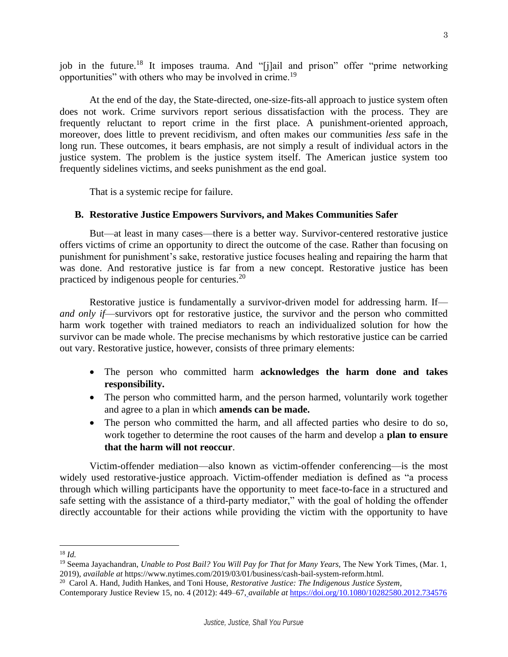job in the future.<sup>18</sup> It imposes trauma. And "[j]ail and prison" offer "prime networking opportunities" with others who may be involved in crime.<sup>19</sup>

At the end of the day, the State-directed, one-size-fits-all approach to justice system often does not work. Crime survivors report serious dissatisfaction with the process. They are frequently reluctant to report crime in the first place. A punishment-oriented approach, moreover, does little to prevent recidivism, and often makes our communities *less* safe in the long run. These outcomes, it bears emphasis, are not simply a result of individual actors in the justice system. The problem is the justice system itself. The American justice system too frequently sidelines victims, and seeks punishment as the end goal.

That is a systemic recipe for failure.

### **B. Restorative Justice Empowers Survivors, and Makes Communities Safer**

But—at least in many cases—there is a better way. Survivor-centered restorative justice offers victims of crime an opportunity to direct the outcome of the case. Rather than focusing on punishment for punishment's sake, restorative justice focuses healing and repairing the harm that was done. And restorative justice is far from a new concept. Restorative justice has been practiced by indigenous people for centuries. $20$ 

Restorative justice is fundamentally a survivor-driven model for addressing harm. If *and only if*—survivors opt for restorative justice, the survivor and the person who committed harm work together with trained mediators to reach an individualized solution for how the survivor can be made whole. The precise mechanisms by which restorative justice can be carried out vary. Restorative justice, however, consists of three primary elements:

- The person who committed harm **acknowledges the harm done and takes responsibility.**
- The person who committed harm, and the person harmed, voluntarily work together and agree to a plan in which **amends can be made.**
- The person who committed the harm, and all affected parties who desire to do so, work together to determine the root causes of the harm and develop a **plan to ensure that the harm will not reoccur**.

Victim-offender mediation—also known as victim-offender conferencing—is the most widely used restorative-justice approach. Victim-offender mediation is defined as "a process through which willing participants have the opportunity to meet face-to-face in a structured and safe setting with the assistance of a third-party mediator," with the goal of holding the offender directly accountable for their actions while providing the victim with the opportunity to have

<sup>18</sup> *Id.* 

<sup>&</sup>lt;sup>19</sup> Seema Jayachandran, *Unable to Post Bail? You Will Pay for That for Many Years*, The New York Times, (Mar. 1, 2019), *available at* https://www.nytimes.com/2019/03/01/business/cash-bail-system-reform.html.

<sup>20</sup> Carol A. Hand, Judith Hankes, and Toni House, *Restorative Justice: The Indigenous Justice System*,

Contemporary Justice Review 15, no. 4 (2012): 449–67, *[a](file:///C:/Users/savite/AppData/Roaming/Microsoft/Word/)vailable at* <https://doi.org/10.1080/10282580.2012.734576>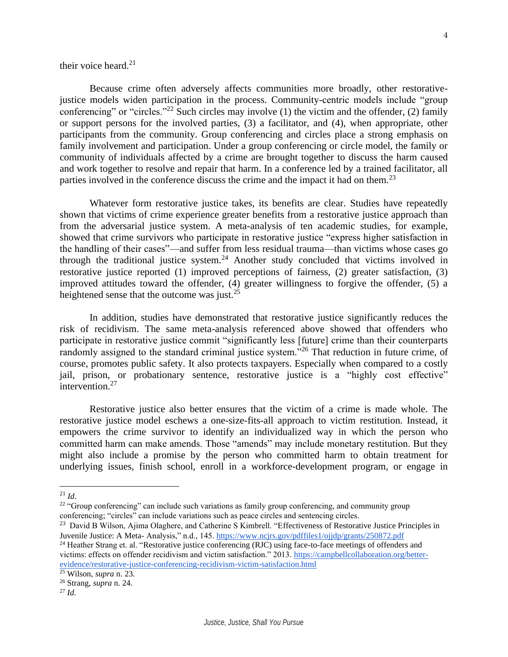Because crime often adversely affects communities more broadly, other restorativejustice models widen participation in the process. Community-centric models include "group conferencing" or "circles."<sup>22</sup> Such circles may involve (1) the victim and the offender, (2) family or support persons for the involved parties, (3) a facilitator, and (4), when appropriate, other

participants from the community. Group conferencing and circles place a strong emphasis on family involvement and participation. Under a group conferencing or circle model, the family or community of individuals affected by a crime are brought together to discuss the harm caused and work together to resolve and repair that harm. In a conference led by a trained facilitator, all parties involved in the conference discuss the crime and the impact it had on them.<sup>23</sup>

Whatever form restorative justice takes, its benefits are clear. Studies have repeatedly shown that victims of crime experience greater benefits from a restorative justice approach than from the adversarial justice system. A meta-analysis of ten academic studies, for example, showed that crime survivors who participate in restorative justice "express higher satisfaction in the handling of their cases"—and suffer from less residual trauma—than victims whose cases go through the traditional justice system.<sup>24</sup> Another study concluded that victims involved in restorative justice reported (1) improved perceptions of fairness, (2) greater satisfaction, (3) improved attitudes toward the offender, (4) greater willingness to forgive the offender, (5) a heightened sense that the outcome was just. $2<sup>5</sup>$ 

In addition, studies have demonstrated that restorative justice significantly reduces the risk of recidivism. The same meta-analysis referenced above showed that offenders who participate in restorative justice commit "significantly less [future] crime than their counterparts randomly assigned to the standard criminal justice system."<sup>26</sup> That reduction in future crime, of course, promotes public safety. It also protects taxpayers. Especially when compared to a costly jail, prison, or probationary sentence, restorative justice is a "highly cost effective" intervention.<sup>27</sup>

Restorative justice also better ensures that the victim of a crime is made whole. The restorative justice model eschews a one-size-fits-all approach to victim restitution. Instead, it empowers the crime survivor to identify an individualized way in which the person who committed harm can make amends. Those "amends" may include monetary restitution. But they might also include a promise by the person who committed harm to obtain treatment for underlying issues, finish school, enroll in a workforce-development program, or engage in

 $^{21}$  *Id.* 

<sup>&</sup>lt;sup>22</sup> "Group conferencing" can include such variations as family group conferencing, and community group conferencing; "circles" can include variations such as peace circles and sentencing circles.

<sup>&</sup>lt;sup>23</sup> David B Wilson, Ajima Olaghere, and Catherine S Kimbrell. "Effectiveness of Restorative Justice Principles in Juvenile Justice: A Meta- Analysis," n.d., 145.<https://www.ncjrs.gov/pdffiles1/ojjdp/grants/250872.pdf>

<sup>&</sup>lt;sup>24</sup> Heather Strang et. al. "Restorative justice conferencing (RJC) using face-to-face meetings of offenders and victims: effects on offender recidivism and victim satisfaction." 2013. [https://campbellcollaboration.org/better](https://campbellcollaboration.org/better-evidence/restorative-justice-conferencing-recidivism-victim-satisfaction.html)[evidence/restorative-justice-conferencing-recidivism-victim-satisfaction.html](https://campbellcollaboration.org/better-evidence/restorative-justice-conferencing-recidivism-victim-satisfaction.html)

<sup>25</sup> Wilson, *supra* n. 23. <sup>26</sup> Strang, *supra* n. 24.

 $^{27}$  *Id.*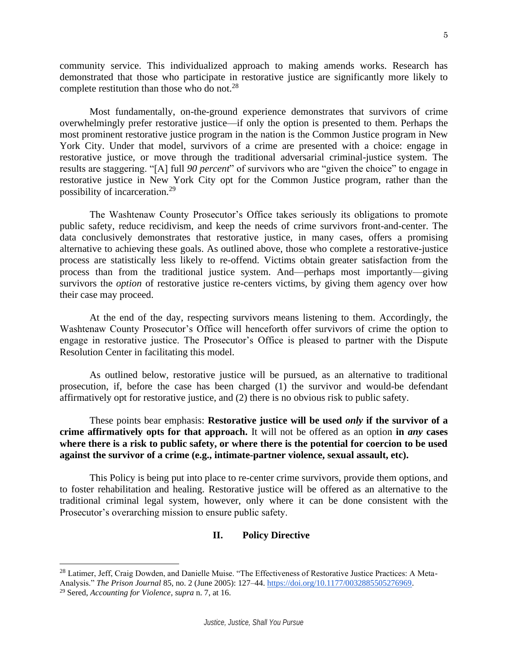community service. This individualized approach to making amends works. Research has demonstrated that those who participate in restorative justice are significantly more likely to complete restitution than those who do not.<sup>28</sup>

Most fundamentally, on-the-ground experience demonstrates that survivors of crime overwhelmingly prefer restorative justice—if only the option is presented to them. Perhaps the most prominent restorative justice program in the nation is the Common Justice program in New York City. Under that model, survivors of a crime are presented with a choice: engage in restorative justice, or move through the traditional adversarial criminal-justice system. The results are staggering. "[A] full *90 percent*" of survivors who are "given the choice" to engage in restorative justice in New York City opt for the Common Justice program, rather than the possibility of incarceration.<sup>29</sup>

The Washtenaw County Prosecutor's Office takes seriously its obligations to promote public safety, reduce recidivism, and keep the needs of crime survivors front-and-center. The data conclusively demonstrates that restorative justice, in many cases, offers a promising alternative to achieving these goals. As outlined above, those who complete a restorative-justice process are statistically less likely to re-offend. Victims obtain greater satisfaction from the process than from the traditional justice system. And—perhaps most importantly—giving survivors the *option* of restorative justice re-centers victims, by giving them agency over how their case may proceed.

At the end of the day, respecting survivors means listening to them. Accordingly, the Washtenaw County Prosecutor's Office will henceforth offer survivors of crime the option to engage in restorative justice. The Prosecutor's Office is pleased to partner with the Dispute Resolution Center in facilitating this model.

As outlined below, restorative justice will be pursued, as an alternative to traditional prosecution, if, before the case has been charged (1) the survivor and would-be defendant affirmatively opt for restorative justice, and (2) there is no obvious risk to public safety.

These points bear emphasis: **Restorative justice will be used** *only* **if the survivor of a crime affirmatively opts for that approach.** It will not be offered as an option **in** *any* **cases where there is a risk to public safety, or where there is the potential for coercion to be used against the survivor of a crime (e.g., intimate-partner violence, sexual assault, etc).** 

This Policy is being put into place to re-center crime survivors, provide them options, and to foster rehabilitation and healing. Restorative justice will be offered as an alternative to the traditional criminal legal system, however, only where it can be done consistent with the Prosecutor's overarching mission to ensure public safety.

#### **II. Policy Directive**

<sup>&</sup>lt;sup>28</sup> Latimer, Jeff, Craig Dowden, and Danielle Muise. "The Effectiveness of Restorative Justice Practices: A Meta-Analysis." *The Prison Journal* 85, no. 2 (June 2005): 127–4[4.](https://doi.org/10.1177/0032885505276969) [https://doi.org/10.1177/0032885505276969.](https://doi.org/10.1177/0032885505276969)

<sup>29</sup> Sered, *Accounting for Violence*, *supra* n. 7, at 16.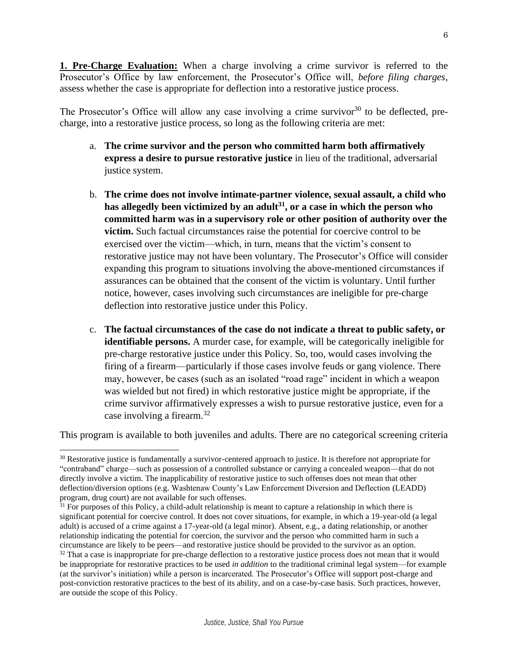**1. Pre-Charge Evaluation:** When a charge involving a crime survivor is referred to the Prosecutor's Office by law enforcement, the Prosecutor's Office will, *before filing charges*, assess whether the case is appropriate for deflection into a restorative justice process.

The Prosecutor's Office will allow any case involving a crime survivor<sup>30</sup> to be deflected, precharge, into a restorative justice process, so long as the following criteria are met:

- a. **The crime survivor and the person who committed harm both affirmatively express a desire to pursue restorative justice** in lieu of the traditional, adversarial justice system.
- b. **The crime does not involve intimate-partner violence, sexual assault, a child who has allegedly been victimized by an adult<sup>31</sup>, or a case in which the person who committed harm was in a supervisory role or other position of authority over the victim.** Such factual circumstances raise the potential for coercive control to be exercised over the victim—which, in turn, means that the victim's consent to restorative justice may not have been voluntary. The Prosecutor's Office will consider expanding this program to situations involving the above-mentioned circumstances if assurances can be obtained that the consent of the victim is voluntary. Until further notice, however, cases involving such circumstances are ineligible for pre-charge deflection into restorative justice under this Policy.
- c. **The factual circumstances of the case do not indicate a threat to public safety, or identifiable persons.** A murder case, for example, will be categorically ineligible for pre-charge restorative justice under this Policy. So, too, would cases involving the firing of a firearm—particularly if those cases involve feuds or gang violence. There may, however, be cases (such as an isolated "road rage" incident in which a weapon was wielded but not fired) in which restorative justice might be appropriate, if the crime survivor affirmatively expresses a wish to pursue restorative justice, even for a case involving a firearm.<sup>32</sup>

This program is available to both juveniles and adults. There are no categorical screening criteria

<sup>&</sup>lt;sup>30</sup> Restorative justice is fundamentally a survivor-centered approach to justice. It is therefore not appropriate for "contraband" charge—such as possession of a controlled substance or carrying a concealed weapon—that do not directly involve a victim. The inapplicability of restorative justice to such offenses does not mean that other deflection/diversion options (e.g. Washtenaw County's Law Enforcement Diversion and Deflection (LEADD) program, drug court) are not available for such offenses.

 $31$  For purposes of this Policy, a child-adult relationship is meant to capture a relationship in which there is significant potential for coercive control. It does not cover situations, for example, in which a 19-year-old (a legal adult) is accused of a crime against a 17-year-old (a legal minor). Absent, e.g., a dating relationship, or another relationship indicating the potential for coercion, the survivor and the person who committed harm in such a circumstance are likely to be peers—and restorative justice should be provided to the survivor as an option.

 $32$  That a case is inappropriate for pre-charge deflection to a restorative justice process does not mean that it would be inappropriate for restorative practices to be used *in addition* to the traditional criminal legal system—for example (at the survivor's initiation) while a person is incarcerated. The Prosecutor's Office will support post-charge and post-conviction restorative practices to the best of its ability, and on a case-by-case basis. Such practices, however, are outside the scope of this Policy.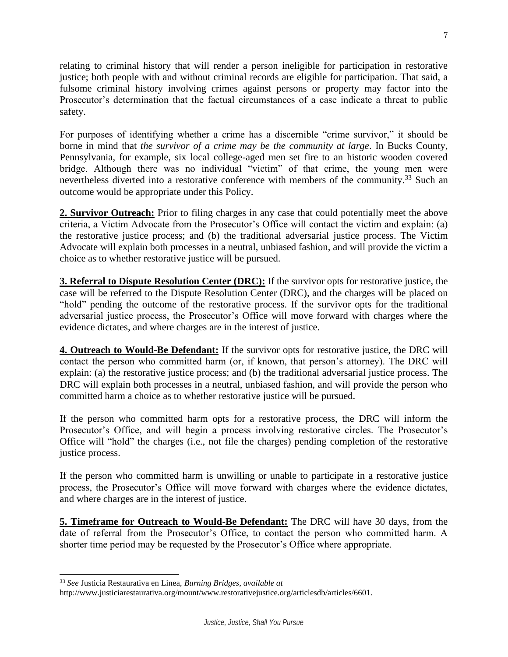relating to criminal history that will render a person ineligible for participation in restorative justice; both people with and without criminal records are eligible for participation. That said, a fulsome criminal history involving crimes against persons or property may factor into the Prosecutor's determination that the factual circumstances of a case indicate a threat to public safety.

For purposes of identifying whether a crime has a discernible "crime survivor," it should be borne in mind that *the survivor of a crime may be the community at large*. In Bucks County, Pennsylvania, for example, six local college-aged men set fire to an historic wooden covered bridge. Although there was no individual "victim" of that crime, the young men were nevertheless diverted into a restorative conference with members of the community.<sup>33</sup> Such an outcome would be appropriate under this Policy.

**2. Survivor Outreach:** Prior to filing charges in any case that could potentially meet the above criteria, a Victim Advocate from the Prosecutor's Office will contact the victim and explain: (a) the restorative justice process; and (b) the traditional adversarial justice process. The Victim Advocate will explain both processes in a neutral, unbiased fashion, and will provide the victim a choice as to whether restorative justice will be pursued.

**3. Referral to Dispute Resolution Center (DRC):** If the survivor opts for restorative justice, the case will be referred to the Dispute Resolution Center (DRC), and the charges will be placed on "hold" pending the outcome of the restorative process. If the survivor opts for the traditional adversarial justice process, the Prosecutor's Office will move forward with charges where the evidence dictates, and where charges are in the interest of justice.

**4. Outreach to Would-Be Defendant:** If the survivor opts for restorative justice, the DRC will contact the person who committed harm (or, if known, that person's attorney). The DRC will explain: (a) the restorative justice process; and (b) the traditional adversarial justice process. The DRC will explain both processes in a neutral, unbiased fashion, and will provide the person who committed harm a choice as to whether restorative justice will be pursued.

If the person who committed harm opts for a restorative process, the DRC will inform the Prosecutor's Office, and will begin a process involving restorative circles. The Prosecutor's Office will "hold" the charges (i.e., not file the charges) pending completion of the restorative justice process.

If the person who committed harm is unwilling or unable to participate in a restorative justice process, the Prosecutor's Office will move forward with charges where the evidence dictates, and where charges are in the interest of justice.

**5. Timeframe for Outreach to Would-Be Defendant:** The DRC will have 30 days, from the date of referral from the Prosecutor's Office, to contact the person who committed harm. A shorter time period may be requested by the Prosecutor's Office where appropriate.

<sup>33</sup> *See* Justicia Restaurativa en Linea, *Burning Bridges, available at* 

http://www.justiciarestaurativa.org/mount/www.restorativejustice.org/articlesdb/articles/6601.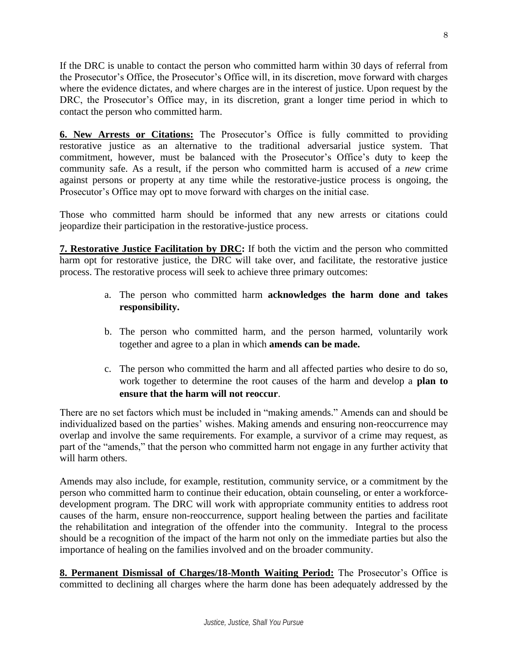If the DRC is unable to contact the person who committed harm within 30 days of referral from the Prosecutor's Office, the Prosecutor's Office will, in its discretion, move forward with charges where the evidence dictates, and where charges are in the interest of justice. Upon request by the DRC, the Prosecutor's Office may, in its discretion, grant a longer time period in which to contact the person who committed harm.

**6. New Arrests or Citations:** The Prosecutor's Office is fully committed to providing restorative justice as an alternative to the traditional adversarial justice system. That commitment, however, must be balanced with the Prosecutor's Office's duty to keep the community safe. As a result, if the person who committed harm is accused of a *new* crime against persons or property at any time while the restorative-justice process is ongoing, the Prosecutor's Office may opt to move forward with charges on the initial case.

Those who committed harm should be informed that any new arrests or citations could jeopardize their participation in the restorative-justice process.

**7. Restorative Justice Facilitation by DRC:** If both the victim and the person who committed harm opt for restorative justice, the DRC will take over, and facilitate, the restorative justice process. The restorative process will seek to achieve three primary outcomes:

- a. The person who committed harm **acknowledges the harm done and takes responsibility.**
- b. The person who committed harm, and the person harmed, voluntarily work together and agree to a plan in which **amends can be made.**
- c. The person who committed the harm and all affected parties who desire to do so, work together to determine the root causes of the harm and develop a **plan to ensure that the harm will not reoccur**.

There are no set factors which must be included in "making amends." Amends can and should be individualized based on the parties' wishes. Making amends and ensuring non-reoccurrence may overlap and involve the same requirements. For example, a survivor of a crime may request, as part of the "amends," that the person who committed harm not engage in any further activity that will harm others.

Amends may also include, for example, restitution, community service, or a commitment by the person who committed harm to continue their education, obtain counseling, or enter a workforcedevelopment program. The DRC will work with appropriate community entities to address root causes of the harm, ensure non-reoccurrence, support healing between the parties and facilitate the rehabilitation and integration of the offender into the community. Integral to the process should be a recognition of the impact of the harm not only on the immediate parties but also the importance of healing on the families involved and on the broader community.

**8. Permanent Dismissal of Charges/18-Month Waiting Period:** The Prosecutor's Office is committed to declining all charges where the harm done has been adequately addressed by the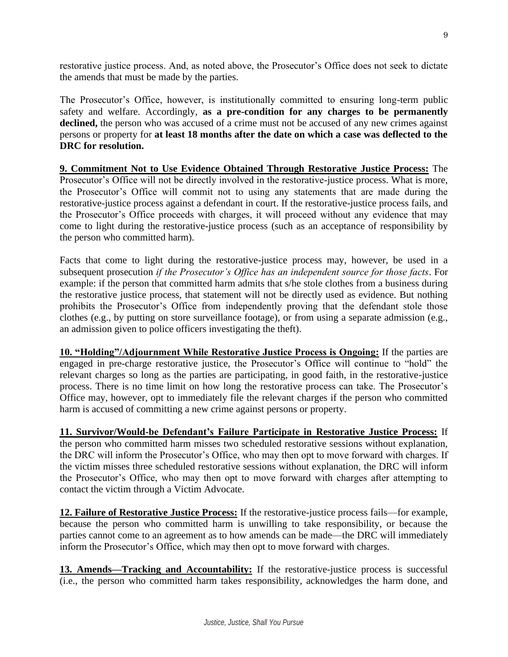restorative justice process. And, as noted above, the Prosecutor's Office does not seek to dictate the amends that must be made by the parties.

The Prosecutor's Office, however, is institutionally committed to ensuring long-term public safety and welfare. Accordingly, **as a pre-condition for any charges to be permanently**  declined, the person who was accused of a crime must not be accused of any new crimes against persons or property for **at least 18 months after the date on which a case was deflected to the DRC for resolution.**

**9. Commitment Not to Use Evidence Obtained Through Restorative Justice Process:** The Prosecutor's Office will not be directly involved in the restorative-justice process. What is more, the Prosecutor's Office will commit not to using any statements that are made during the restorative-justice process against a defendant in court. If the restorative-justice process fails, and the Prosecutor's Office proceeds with charges, it will proceed without any evidence that may come to light during the restorative-justice process (such as an acceptance of responsibility by the person who committed harm).

Facts that come to light during the restorative-justice process may, however, be used in a subsequent prosecution *if the Prosecutor's Office has an independent source for those facts*. For example: if the person that committed harm admits that s/he stole clothes from a business during the restorative justice process, that statement will not be directly used as evidence. But nothing prohibits the Prosecutor's Office from independently proving that the defendant stole those clothes (e.g., by putting on store surveillance footage), or from using a separate admission (e.g., an admission given to police officers investigating the theft).

**10. "Holding"/Adjournment While Restorative Justice Process is Ongoing:** If the parties are engaged in pre-charge restorative justice, the Prosecutor's Office will continue to "hold" the relevant charges so long as the parties are participating, in good faith, in the restorative-justice process. There is no time limit on how long the restorative process can take. The Prosecutor's Office may, however, opt to immediately file the relevant charges if the person who committed harm is accused of committing a new crime against persons or property.

**11. Survivor/Would-be Defendant's Failure Participate in Restorative Justice Process:** If the person who committed harm misses two scheduled restorative sessions without explanation, the DRC will inform the Prosecutor's Office, who may then opt to move forward with charges. If the victim misses three scheduled restorative sessions without explanation, the DRC will inform the Prosecutor's Office, who may then opt to move forward with charges after attempting to contact the victim through a Victim Advocate.

**12. Failure of Restorative Justice Process:** If the restorative-justice process fails—for example, because the person who committed harm is unwilling to take responsibility, or because the parties cannot come to an agreement as to how amends can be made—the DRC will immediately inform the Prosecutor's Office, which may then opt to move forward with charges.

**13. Amends—Tracking and Accountability:** If the restorative-justice process is successful (i.e., the person who committed harm takes responsibility, acknowledges the harm done, and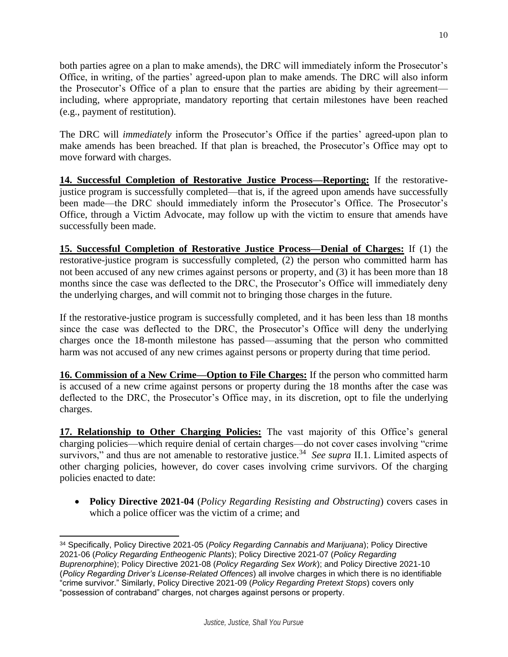both parties agree on a plan to make amends), the DRC will immediately inform the Prosecutor's Office, in writing, of the parties' agreed-upon plan to make amends. The DRC will also inform the Prosecutor's Office of a plan to ensure that the parties are abiding by their agreement including, where appropriate, mandatory reporting that certain milestones have been reached (e.g., payment of restitution).

The DRC will *immediately* inform the Prosecutor's Office if the parties' agreed-upon plan to make amends has been breached. If that plan is breached, the Prosecutor's Office may opt to move forward with charges.

**14. Successful Completion of Restorative Justice Process—Reporting:** If the restorativejustice program is successfully completed—that is, if the agreed upon amends have successfully been made—the DRC should immediately inform the Prosecutor's Office. The Prosecutor's Office, through a Victim Advocate, may follow up with the victim to ensure that amends have successfully been made.

**15. Successful Completion of Restorative Justice Process—Denial of Charges:** If (1) the restorative-justice program is successfully completed, (2) the person who committed harm has not been accused of any new crimes against persons or property, and (3) it has been more than 18 months since the case was deflected to the DRC, the Prosecutor's Office will immediately deny the underlying charges, and will commit not to bringing those charges in the future.

If the restorative-justice program is successfully completed, and it has been less than 18 months since the case was deflected to the DRC, the Prosecutor's Office will deny the underlying charges once the 18-month milestone has passed—assuming that the person who committed harm was not accused of any new crimes against persons or property during that time period.

**16. Commission of a New Crime—Option to File Charges:** If the person who committed harm is accused of a new crime against persons or property during the 18 months after the case was deflected to the DRC, the Prosecutor's Office may, in its discretion, opt to file the underlying charges.

**17. Relationship to Other Charging Policies:** The vast majority of this Office's general charging policies—which require denial of certain charges—do not cover cases involving "crime survivors," and thus are not amenable to restorative justice.<sup>34</sup> *See supra* II.1. Limited aspects of other charging policies, however, do cover cases involving crime survivors. Of the charging policies enacted to date:

• **Policy Directive 2021-04** (*Policy Regarding Resisting and Obstructing*) covers cases in which a police officer was the victim of a crime; and

<sup>34</sup> Specifically, Policy Directive 2021-05 (*Policy Regarding Cannabis and Marijuana*); Policy Directive 2021-06 (*Policy Regarding Entheogenic Plants*); Policy Directive 2021-07 (*Policy Regarding Buprenorphine*); Policy Directive 2021-08 (*Policy Regarding Sex Work*); and Policy Directive 2021-10 (*Policy Regarding Driver's License-Related Offences*) all involve charges in which there is no identifiable "crime survivor." Similarly, Policy Directive 2021-09 (*Policy Regarding Pretext Stops*) covers only "possession of contraband" charges, not charges against persons or property.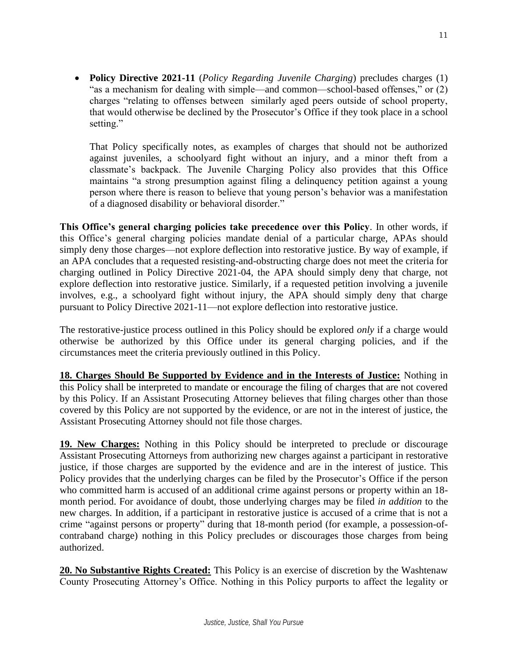• **Policy Directive 2021-11** (*Policy Regarding Juvenile Charging*) precludes charges (1) "as a mechanism for dealing with simple—and common—school-based offenses," or (2) charges "relating to offenses between similarly aged peers outside of school property, that would otherwise be declined by the Prosecutor's Office if they took place in a school setting."

That Policy specifically notes, as examples of charges that should not be authorized against juveniles, a schoolyard fight without an injury, and a minor theft from a classmate's backpack. The Juvenile Charging Policy also provides that this Office maintains "a strong presumption against filing a delinquency petition against a young person where there is reason to believe that young person's behavior was a manifestation of a diagnosed disability or behavioral disorder."

**This Office's general charging policies take precedence over this Policy**. In other words, if this Office's general charging policies mandate denial of a particular charge, APAs should simply deny those charges—not explore deflection into restorative justice. By way of example, if an APA concludes that a requested resisting-and-obstructing charge does not meet the criteria for charging outlined in Policy Directive 2021-04, the APA should simply deny that charge, not explore deflection into restorative justice. Similarly, if a requested petition involving a juvenile involves, e.g., a schoolyard fight without injury, the APA should simply deny that charge pursuant to Policy Directive 2021-11—not explore deflection into restorative justice.

The restorative-justice process outlined in this Policy should be explored *only* if a charge would otherwise be authorized by this Office under its general charging policies, and if the circumstances meet the criteria previously outlined in this Policy.

**18. Charges Should Be Supported by Evidence and in the Interests of Justice:** Nothing in this Policy shall be interpreted to mandate or encourage the filing of charges that are not covered by this Policy. If an Assistant Prosecuting Attorney believes that filing charges other than those covered by this Policy are not supported by the evidence, or are not in the interest of justice, the Assistant Prosecuting Attorney should not file those charges.

**19. New Charges:** Nothing in this Policy should be interpreted to preclude or discourage Assistant Prosecuting Attorneys from authorizing new charges against a participant in restorative justice, if those charges are supported by the evidence and are in the interest of justice. This Policy provides that the underlying charges can be filed by the Prosecutor's Office if the person who committed harm is accused of an additional crime against persons or property within an 18 month period. For avoidance of doubt, those underlying charges may be filed *in addition* to the new charges. In addition, if a participant in restorative justice is accused of a crime that is not a crime "against persons or property" during that 18-month period (for example, a possession-ofcontraband charge) nothing in this Policy precludes or discourages those charges from being authorized.

**20. No Substantive Rights Created:** This Policy is an exercise of discretion by the Washtenaw County Prosecuting Attorney's Office. Nothing in this Policy purports to affect the legality or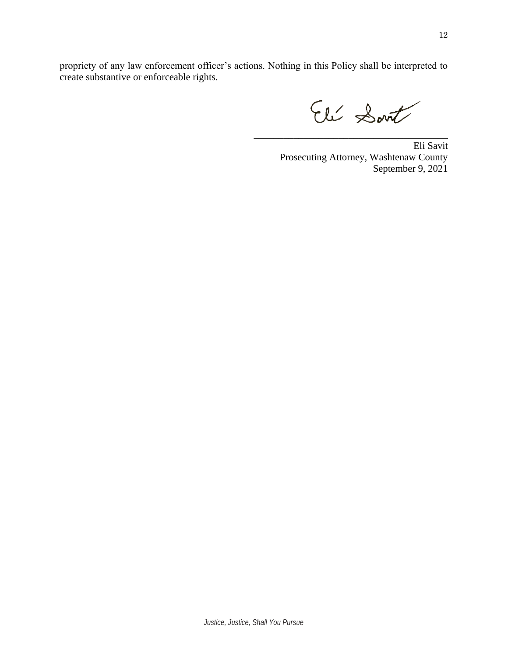propriety of any law enforcement officer's actions. Nothing in this Policy shall be interpreted to create substantive or enforceable rights.

Eli Sont

Eli Savit Prosecuting Attorney, Washtenaw County September 9, 2021

\_\_\_\_\_\_\_\_\_\_\_\_\_\_\_\_\_\_\_\_\_\_\_\_\_\_\_\_\_\_\_\_\_\_\_\_\_\_\_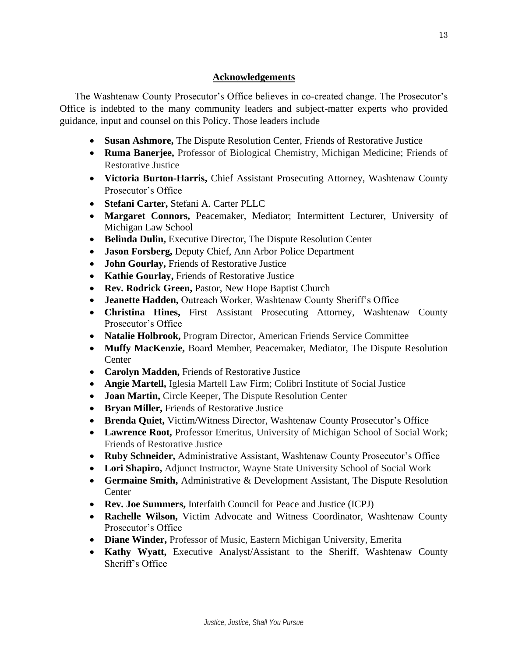## **Acknowledgements**

The Washtenaw County Prosecutor's Office believes in co-created change. The Prosecutor's Office is indebted to the many community leaders and subject-matter experts who provided guidance, input and counsel on this Policy. Those leaders include

- **Susan Ashmore,** The Dispute Resolution Center, Friends of Restorative Justice
- **Ruma Banerjee,** Professor of Biological Chemistry, Michigan Medicine; Friends of Restorative Justice
- **Victoria Burton-Harris,** Chief Assistant Prosecuting Attorney, Washtenaw County Prosecutor's Office
- **Stefani Carter,** Stefani A. Carter PLLC
- **Margaret Connors,** Peacemaker, Mediator; Intermittent Lecturer, University of Michigan Law School
- **Belinda Dulin,** Executive Director, The Dispute Resolution Center
- **Jason Forsberg,** Deputy Chief, Ann Arbor Police Department
- **John Gourlay,** Friends of Restorative Justice
- **Kathie Gourlay,** Friends of Restorative Justice
- **Rev. Rodrick Green,** Pastor, New Hope Baptist Church
- **Jeanette Hadden,** Outreach Worker, Washtenaw County Sheriff's Office
- **Christina Hines,** First Assistant Prosecuting Attorney, Washtenaw County Prosecutor's Office
- **Natalie Holbrook,** Program Director, American Friends Service Committee
- **Muffy MacKenzie,** Board Member, Peacemaker, Mediator, The Dispute Resolution **Center**
- **Carolyn Madden,** Friends of Restorative Justice
- **Angie Martell,** Iglesia Martell Law Firm; Colibri Institute of Social Justice
- **Joan Martin,** Circle Keeper, The Dispute Resolution Center
- **Bryan Miller,** Friends of Restorative Justice
- **Brenda Quiet,** Victim/Witness Director, Washtenaw County Prosecutor's Office
- **Lawrence Root,** Professor Emeritus, University of Michigan School of Social Work; Friends of Restorative Justice
- **Ruby Schneider,** Administrative Assistant, Washtenaw County Prosecutor's Office
- **Lori Shapiro,** Adjunct Instructor, Wayne State University School of Social Work
- **Germaine Smith,** Administrative & Development Assistant, The Dispute Resolution Center
- **Rev. Joe Summers,** Interfaith Council for Peace and Justice (ICPJ)
- **Rachelle Wilson,** Victim Advocate and Witness Coordinator, Washtenaw County Prosecutor's Office
- **Diane Winder,** Professor of Music, Eastern Michigan University, Emerita
- **Kathy Wyatt,** Executive Analyst/Assistant to the Sheriff, Washtenaw County Sheriff's Office